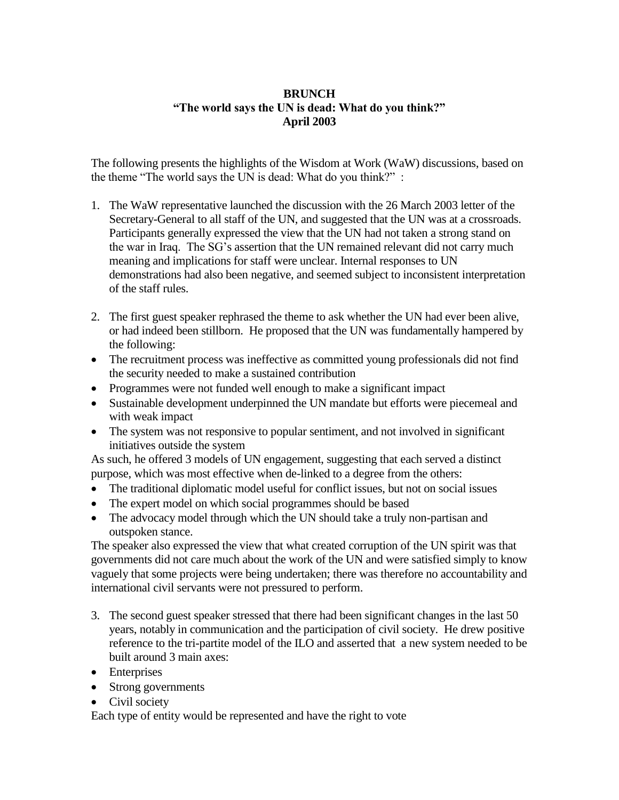## **BRUNCH "The world says the UN is dead: What do you think?" April 2003**

The following presents the highlights of the Wisdom at Work (WaW) discussions, based on the theme "The world says the UN is dead: What do you think?" :

- 1. The WaW representative launched the discussion with the 26 March 2003 letter of the Secretary-General to all staff of the UN, and suggested that the UN was at a crossroads. Participants generally expressed the view that the UN had not taken a strong stand on the war in Iraq. The SG's assertion that the UN remained relevant did not carry much meaning and implications for staff were unclear. Internal responses to UN demonstrations had also been negative, and seemed subject to inconsistent interpretation of the staff rules.
- 2. The first guest speaker rephrased the theme to ask whether the UN had ever been alive, or had indeed been stillborn. He proposed that the UN was fundamentally hampered by the following:
- The recruitment process was ineffective as committed young professionals did not find the security needed to make a sustained contribution
- Programmes were not funded well enough to make a significant impact
- Sustainable development underpinned the UN mandate but efforts were piecemeal and with weak impact
- The system was not responsive to popular sentiment, and not involved in significant initiatives outside the system

As such, he offered 3 models of UN engagement, suggesting that each served a distinct purpose, which was most effective when de-linked to a degree from the others:

- The traditional diplomatic model useful for conflict issues, but not on social issues
- The expert model on which social programmes should be based
- The advocacy model through which the UN should take a truly non-partisan and outspoken stance.

The speaker also expressed the view that what created corruption of the UN spirit was that governments did not care much about the work of the UN and were satisfied simply to know vaguely that some projects were being undertaken; there was therefore no accountability and international civil servants were not pressured to perform.

- 3. The second guest speaker stressed that there had been significant changes in the last 50 years, notably in communication and the participation of civil society. He drew positive reference to the tri-partite model of the ILO and asserted that a new system needed to be built around 3 main axes:
- Enterprises
- Strong governments
- Civil society

Each type of entity would be represented and have the right to vote